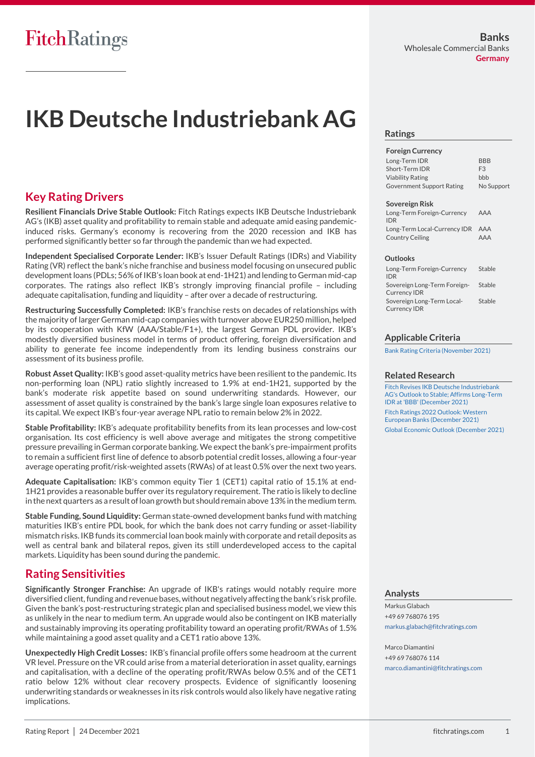# **IKB Deutsche Industriebank AG**

### **Key Rating Drivers**

**Resilient Financials Drive Stable Outlook:** Fitch Ratings expects IKB Deutsche Industriebank AG's (IKB) asset quality and profitability to remain stable and adequate amid easing pandemicinduced risks. Germany's economy is recovering from the 2020 recession and IKB has performed significantly better so far through the pandemic than we had expected.

**Independent Specialised Corporate Lender:** IKB's Issuer Default Ratings (IDRs) and Viability Rating (VR) reflect the bank's niche franchise and business model focusing on unsecured public development loans (PDLs; 56% of IKB's loan book at end-1H21) and lending to German mid-cap corporates. The ratings also reflect IKB's strongly improving financial profile – including adequate capitalisation, funding and liquidity – after over a decade of restructuring.

**Restructuring Successfully Completed:** IKB's franchise rests on decades of relationships with the majority of larger German mid-cap companies with turnover above EUR250 million, helped by its cooperation with KfW (AAA/Stable/F1+), the largest German PDL provider. IKB's modestly diversified business model in terms of product offering, foreign diversification and ability to generate fee income independently from its lending business constrains our assessment of its business profile.

**Robust Asset Quality:** IKB's good asset-quality metrics have been resilient to the pandemic. Its non-performing loan (NPL) ratio slightly increased to 1.9% at end-1H21, supported by the bank's moderate risk appetite based on sound underwriting standards. However, our assessment of asset quality is constrained by the bank's large single loan exposures relative to its capital. We expect IKB's four-year average NPL ratio to remain below 2% in 2022.

**Stable Profitability:** IKB's adequate profitability benefits from its lean processes and low-cost organisation. Its cost efficiency is well above average and mitigates the strong competitive pressure prevailing in German corporate banking. We expect the bank's pre-impairment profits to remain a sufficient first line of defence to absorb potential credit losses, allowing a four-year average operating profit/risk-weighted assets (RWAs) of at least 0.5% over the next two years.

**Adequate Capitalisation:** IKB's common equity Tier 1 (CET1) capital ratio of 15.1% at end-1H21 provides a reasonable buffer over its regulatory requirement. The ratio is likely to decline in the next quarters as a result of loan growth but should remain above 13% in the medium term.

**Stable Funding, Sound Liquidity:** German state-owned development banks fund with matching maturities IKB's entire PDL book, for which the bank does not carry funding or asset-liability mismatch risks. IKB funds its commercial loan book mainly with corporate and retail deposits as well as central bank and bilateral repos, given its still underdeveloped access to the capital markets. Liquidity has been sound during the pandemic.

### **Rating Sensitivities**

**Significantly Stronger Franchise:** An upgrade of IKB's ratings would notably require more diversified client, funding and revenue bases, without negatively affecting the bank's risk profile. Given the bank's post-restructuring strategic plan and specialised business model, we view this as unlikely in the near to medium term. An upgrade would also be contingent on IKB materially and sustainably improving its operating profitability toward an operating profit/RWAs of 1.5% while maintaining a good asset quality and a CET1 ratio above 13%.

**Unexpectedly High Credit Losses:** IKB's financial profile offers some headroom at the current VR level. Pressure on the VR could arise from a material deterioration in asset quality, earnings and capitalisation, with a decline of the operating profit/RWAs below 0.5% and of the CET1 ratio below 12% without clear recovery prospects. Evidence of significantly loosening underwriting standards or weaknesses in its risk controls would also likely have negative rating implications.

### **Ratings**

#### **Foreign Currency**

| Long-Term IDR                    | <b>BBB</b>     |
|----------------------------------|----------------|
| Short-Term IDR                   | F <sub>3</sub> |
| <b>Viability Rating</b>          | bbb            |
| <b>Government Support Rating</b> | No Support     |
|                                  |                |

#### **Sovereign Risk**

| Long-Term Foreign-Currency<br><b>IDR</b>            | AAA |
|-----------------------------------------------------|-----|
| Long-Term Local-Currency IDR AAA<br>Country Ceiling | AAA |

#### **Outlooks**

| Long-Term Foreign-Currency<br><b>IDR</b>          | Stable |
|---------------------------------------------------|--------|
| Sovereign Long-Term Foreign-                      | Stable |
| <b>Currency IDR</b>                               |        |
| Sovereign Long-Term Local-<br><b>Currency IDR</b> | Stable |

### **Applicable Criteria**

Bank Rating Criteria (November 2021)

#### **Related Research**

Fitch Revises IKB Deutsche Industriebank AG's Outlook to Stable; Affirms Long-Term IDR at 'BBB' (December 2021) Fitch Ratings 2022 Outlook: Western European Banks (December 2021) Global Economic Outlook (December 2021)

#### **Analysts**

Markus Glabach +49 69 768076 195 markus.glabach@fitchratings.com

Marco Diamantini +49 69 768076 114 marco.diamantini@fitchratings.com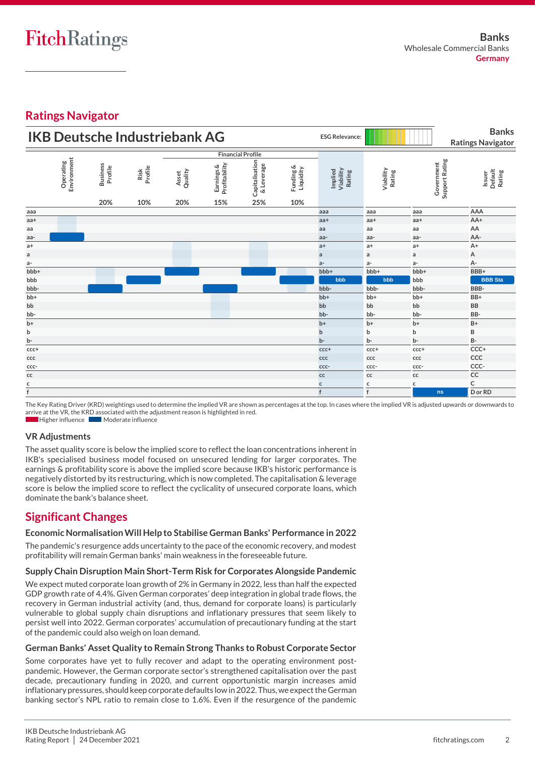## **Ratings Navigator**

|                 | <b>IKB Deutsche Industriebank AG</b> |                                   |                        |                         |                                    | <b>ESG Relevance:</b>               |                               |                                       | <b>Banks</b><br><b>Ratings Navigator</b> |                              |                                           |
|-----------------|--------------------------------------|-----------------------------------|------------------------|-------------------------|------------------------------------|-------------------------------------|-------------------------------|---------------------------------------|------------------------------------------|------------------------------|-------------------------------------------|
|                 |                                      |                                   |                        |                         |                                    | <b>Financial Profile</b>            |                               |                                       |                                          |                              |                                           |
|                 | Environment<br>Operating             | <b>Business</b><br>Profile<br>20% | Risk<br>Profile<br>10% | Quality<br>Asset<br>20% | Earnings &<br>Profitability<br>15% | Capitalisation<br>& Leverage<br>25% | Funding &<br>Liquidity<br>10% | Implied<br>Viability<br><b>Rating</b> | Viability<br>Rating                      | Support Rating<br>Government | Default<br><b>Rating</b><br><b>Issuer</b> |
| aaa             |                                      |                                   |                        |                         |                                    |                                     |                               | aaa                                   | aaa                                      | aaa                          | AAA                                       |
| $aa+$           |                                      |                                   |                        |                         |                                    |                                     |                               | $aa+$                                 | $aa+$                                    | $aa+$                        | AA+                                       |
| aa              |                                      |                                   |                        |                         |                                    |                                     |                               | aa                                    | aa                                       | aa                           | AA                                        |
| aa-             |                                      |                                   |                        |                         |                                    |                                     |                               | aa-                                   | aa-                                      | aa-                          | AA-                                       |
| $a+$            |                                      |                                   |                        |                         |                                    |                                     |                               | $a+$                                  | $a+$                                     | $a+$                         | $A+$                                      |
| $\mathsf a$     |                                      |                                   |                        |                         |                                    |                                     |                               | $\mathsf{a}$                          | $\mathsf{a}$                             | a                            | А                                         |
| $a-$            |                                      |                                   |                        |                         |                                    |                                     |                               | $a-$                                  | $a-$                                     | a-                           | А-                                        |
| bbb+            |                                      |                                   |                        |                         |                                    |                                     |                               | bbb+                                  | bbb+                                     | bbb+                         | BBB+                                      |
| bbb             |                                      |                                   |                        |                         |                                    |                                     |                               | bbb                                   | bbb                                      | bbb                          | <b>BBB</b> Sta                            |
| bbb-            |                                      |                                   |                        |                         |                                    |                                     |                               | bbb-                                  | bbb-                                     | bbb-                         | BBB-                                      |
| b <sub>b+</sub> |                                      |                                   |                        |                         |                                    |                                     |                               | $bb+$                                 | b <sub>b+</sub>                          | bb+                          | BB+                                       |
| bb              |                                      |                                   |                        |                         |                                    |                                     |                               | bb                                    | bb                                       | bb                           | <b>BB</b>                                 |
| bb-             |                                      |                                   |                        |                         |                                    |                                     |                               | bb-                                   | bb-                                      | bb-                          | BB-                                       |
| $b+$            |                                      |                                   |                        |                         |                                    |                                     |                               | $b+$                                  | $b+$                                     | $b+$                         | $B+$                                      |
| $\sf b$         |                                      |                                   |                        |                         |                                    |                                     |                               | $\mathbf b$                           | $\mathbf b$                              | b                            | B                                         |
| b-              |                                      |                                   |                        |                         |                                    |                                     |                               | b-                                    | $b -$                                    | b-                           | <b>B-</b>                                 |
| $ccc +$         |                                      |                                   |                        |                         |                                    |                                     |                               | $ccc+$                                | ccc+                                     | ccc+                         | CCC+                                      |
| ccc             |                                      |                                   |                        |                         |                                    |                                     |                               | ccc                                   | ccc                                      | ccc                          | CCC                                       |
| $ccc-$          |                                      |                                   |                        |                         |                                    |                                     |                               | ccc-                                  | ccc-                                     | ccc-                         | CCC-                                      |
| ${\sf cc}$      |                                      |                                   |                        |                         |                                    |                                     |                               | $\mathsf{cc}$                         | $\mathsf{cc}$                            | сc                           | CC                                        |
| $rac{c}{f}$     |                                      |                                   |                        |                         |                                    |                                     |                               | $\mathsf{C}$                          | $\mathsf{c}$                             | c                            | C                                         |
|                 |                                      |                                   |                        |                         |                                    |                                     |                               | f                                     | f                                        | ns                           | D or RD                                   |

The Key Rating Driver (KRD) weightings used to determine the implied VR are shown as percentages at the top. In cases where the implied VR is adjusted upwards or downwards to arrive at the VR, the KRD associated with the adjustment reason is highlighted in red. Higher influence Moderate influence

### **VR Adjustments**

The asset quality score is below the implied score to reflect the loan concentrations inherent in IKB's specialised business model focused on unsecured lending for larger corporates. The earnings & profitability score is above the implied score because IKB's historic performance is negatively distorted by its restructuring, which is now completed. The capitalisation & leverage score is below the implied score to reflect the cyclicality of unsecured corporate loans, which dominate the bank's balance sheet.

### **Significant Changes**

### **Economic NormalisationWill Help to Stabilise German Banks' Performance in 2022**

The pandemic's resurgence adds uncertainty to the pace of the economic recovery, and modest profitability will remain German banks' main weakness in the foreseeable future.

### **Supply Chain Disruption Main Short-Term Risk for Corporates Alongside Pandemic**

We expect muted corporate loan growth of 2% in Germany in 2022, less than half the expected GDP growth rate of 4.4%. Given German corporates' deep integration in global trade flows, the recovery in German industrial activity (and, thus, demand for corporate loans) is particularly vulnerable to global supply chain disruptions and inflationary pressures that seem likely to persist well into 2022. German corporates' accumulation of precautionary funding at the start of the pandemic could also weigh on loan demand.

### **German Banks' Asset Quality to Remain Strong Thanks to Robust Corporate Sector**

Some corporates have yet to fully recover and adapt to the operating environment postpandemic. However, the German corporate sector's strengthened capitalisation over the past decade, precautionary funding in 2020, and current opportunistic margin increases amid inflationary pressures, should keep corporate defaults low in 2022. Thus, we expect the German banking sector's NPL ratio to remain close to 1.6%. Even if the resurgence of the pandemic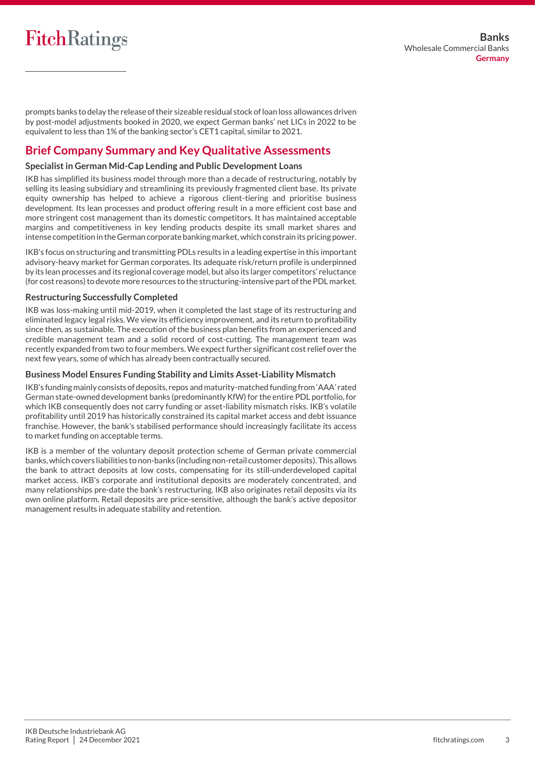## **FitchRatings**

prompts banks to delay the release of their sizeable residual stock of loan loss allowances driven by post-model adjustments booked in 2020, we expect German banks' net LICs in 2022 to be equivalent to less than 1% of the banking sector's CET1 capital, similar to 2021.

### **Brief Company Summary and Key Qualitative Assessments**

### **Specialist in German Mid-Cap Lending and Public Development Loans**

IKB has simplified its business model through more than a decade of restructuring, notably by selling its leasing subsidiary and streamlining its previously fragmented client base. Its private equity ownership has helped to achieve a rigorous client-tiering and prioritise business development. Its lean processes and product offering result in a more efficient cost base and more stringent cost management than its domestic competitors. It has maintained acceptable margins and competitiveness in key lending products despite its small market shares and intensecompetition intheGermancorporatebanking market, which constrain its pricing power.

IKB's focus on structuring and transmitting PDLs results in a leading expertise in this important advisory-heavy market for German corporates. Its adequate risk/return profile is underpinned by its lean processes and its regional coverage model, but also its larger competitors' reluctance (for cost reasons) to devote more resources to the structuring-intensive part of the PDL market.

### **Restructuring Successfully Completed**

IKB was loss-making until mid-2019, when it completed the last stage of its restructuring and eliminated legacy legal risks. We view its efficiency improvement, and its return to profitability since then, as sustainable. The execution of the business plan benefits from an experienced and credible management team and a solid record of cost-cutting. The management team was recently expanded from two to four members. We expect further significant cost relief over the next few years, some of which has already been contractually secured.

### **Business Model Ensures Funding Stability and Limits Asset-Liability Mismatch**

IKB's funding mainly consists of deposits, repos and maturity-matched funding from 'AAA' rated German state-owned development banks (predominantly KfW) for the entire PDL portfolio, for which IKB consequently does not carry funding or asset-liability mismatch risks. IKB's volatile profitability until 2019 has historically constrained its capital market access and debt issuance franchise. However, the bank's stabilised performance should increasingly facilitate its access to market funding on acceptable terms.

IKB is a member of the voluntary deposit protection scheme of German private commercial banks, which covers liabilities to non-banks (including non-retail customer deposits). This allows the bank to attract deposits at low costs, compensating for its still-underdeveloped capital market access. IKB's corporate and institutional deposits are moderately concentrated, and many relationships pre-date the bank's restructuring. IKB also originates retail deposits via its own online platform. Retail deposits are price-sensitive, although the bank's active depositor management results in adequate stability and retention.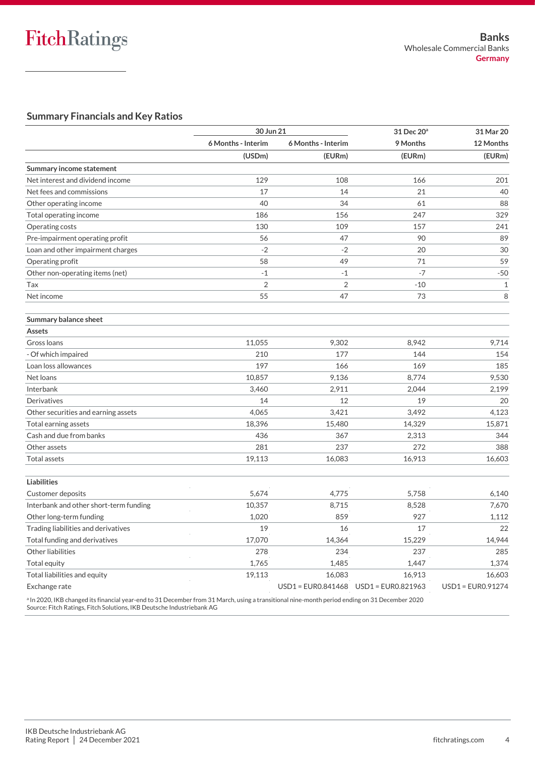### **Summary Financials and Key Ratios**

|                                        | 30 Jun 21          |                    | 31 Dec 20 <sup>a</sup> | 31 Mar 20         |
|----------------------------------------|--------------------|--------------------|------------------------|-------------------|
|                                        | 6 Months - Interim | 6 Months - Interim | 9 Months               | 12 Months         |
|                                        | (USDm)             | (EURm)             | (EURm)                 | (EURm)            |
| Summary income statement               |                    |                    |                        |                   |
| Net interest and dividend income       | 129                | 108                | 166                    | 201               |
| Net fees and commissions               | 17                 | 14                 | 21                     | 40                |
| Other operating income                 | 40                 | 34                 | 61                     | 88                |
| Total operating income                 | 186                | 156                | 247                    | 329               |
| Operating costs                        | 130                | 109                | 157                    | 241               |
| Pre-impairment operating profit        | 56                 | 47                 | 90                     | 89                |
| Loan and other impairment charges      | $-2$               | $-2$               | 20                     | 30                |
| Operating profit                       | 58                 | 49                 | 71                     | 59                |
| Other non-operating items (net)        | $-1$               | $-1$               | $-7$                   | $-50$             |
| Tax                                    | $\overline{2}$     | $\sqrt{2}$         | $-10$                  | $1\,$             |
| Net income                             | 55                 | 47                 | 73                     | 8                 |
| Summary balance sheet                  |                    |                    |                        |                   |
| Assets                                 |                    |                    |                        |                   |
| Gross Ioans                            | 11,055             | 9,302              | 8,942                  | 9,714             |
| - Of which impaired                    | 210                | 177                | 144                    | 154               |
| Loan loss allowances                   | 197                | 166                | 169                    | 185               |
| Net loans                              | 10,857             | 9,136              | 8,774                  | 9,530             |
| Interbank                              | 3,460              | 2,911              | 2,044                  | 2,199             |
| Derivatives                            | 14                 | 12                 | 19                     | 20                |
| Other securities and earning assets    | 4,065              | 3,421              | 3,492                  | 4,123             |
| Total earning assets                   | 18,396             | 15,480             | 14,329                 | 15,871            |
| Cash and due from banks                | 436                | 367                | 2,313                  | 344               |
| Other assets                           | 281                | 237                | 272                    | 388               |
| <b>Total assets</b>                    | 19,113             | 16,083             | 16,913                 | 16,603            |
| <b>Liabilities</b>                     |                    |                    |                        |                   |
| <b>Customer deposits</b>               | 5,674              | 4,775              | 5,758                  | 6,140             |
| Interbank and other short-term funding | 10,357             | 8,715              | 8,528                  | 7,670             |
| Other long-term funding                | 1,020              | 859                | 927                    | 1,112             |
| Trading liabilities and derivatives    | 19                 | 16                 | 17                     | 22                |
| Total funding and derivatives          | 17,070             | 14,364             | 15,229                 | 14,944            |
| Other liabilities                      | 278                | 234                | 237                    | 285               |
| Total equity                           | 1,765              | 1,485              | 1,447                  | 1,374             |
| Total liabilities and equity           | 19,113             | 16,083             | 16,913                 | 16,603            |
| Exchange rate                          |                    |                    |                        | USD1 = EUR0.91274 |
|                                        |                    |                    |                        |                   |

<sup>a</sup> In 2020, IKB changed its financial year-end to 31 December from 31 March, using a transitional nine-month period ending on 31 December 2020 Source: Fitch Ratings, Fitch Solutions, IKB Deutsche Industriebank AG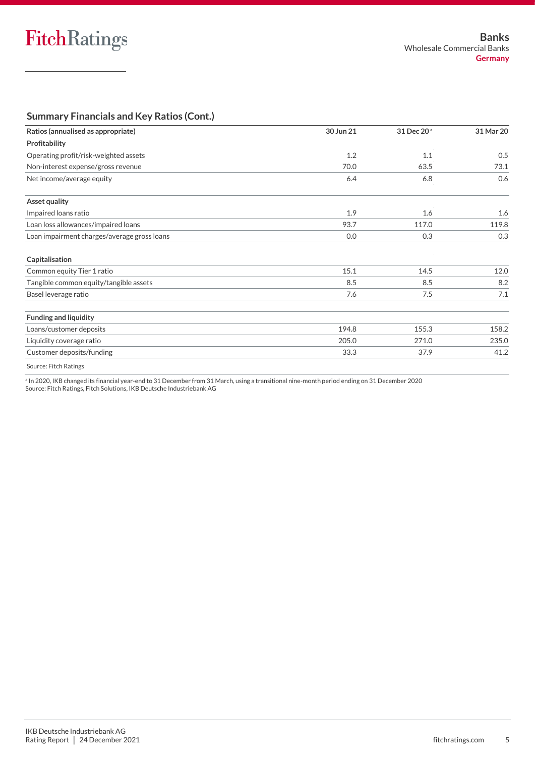### **Summary Financials and Key Ratios (Cont.)**

| Ratios (annualised as appropriate)          | 30 Jun 21 | 31 Dec 20 <sup>a</sup> | 31 Mar 20 |
|---------------------------------------------|-----------|------------------------|-----------|
| Profitability                               |           |                        |           |
| Operating profit/risk-weighted assets       | 1.2       | 1.1                    | 0.5       |
| Non-interest expense/gross revenue          | 70.0      | 63.5                   | 73.1      |
| Net income/average equity                   | 6.4       | 6.8                    | 0.6       |
| Asset quality                               |           |                        |           |
| Impaired loans ratio                        | 1.9       | 1.6                    | 1.6       |
| Loan loss allowances/impaired loans         | 93.7      | 117.0                  | 119.8     |
| Loan impairment charges/average gross loans | 0.0       | 0.3                    | 0.3       |
| Capitalisation                              |           |                        |           |
| Common equity Tier 1 ratio                  | 15.1      | 14.5                   | 12.0      |
| Tangible common equity/tangible assets      | 8.5       | 8.5                    | 8.2       |
| Basel leverage ratio                        | 7.6       | 7.5                    | 7.1       |
| <b>Funding and liquidity</b>                |           |                        |           |
| Loans/customer deposits                     | 194.8     | 155.3                  | 158.2     |
| Liquidity coverage ratio                    | 205.0     | 271.0                  | 235.0     |
| Customer deposits/funding                   | 33.3      | 37.9                   | 41.2      |
| Source: Fitch Ratings                       |           |                        |           |

a In 2020, IKB changed its financial year-end to 31 December from 31 March, using a transitional nine-month period ending on 31 December 2020 Source: Fitch Ratings, Fitch Solutions, IKB Deutsche Industriebank AG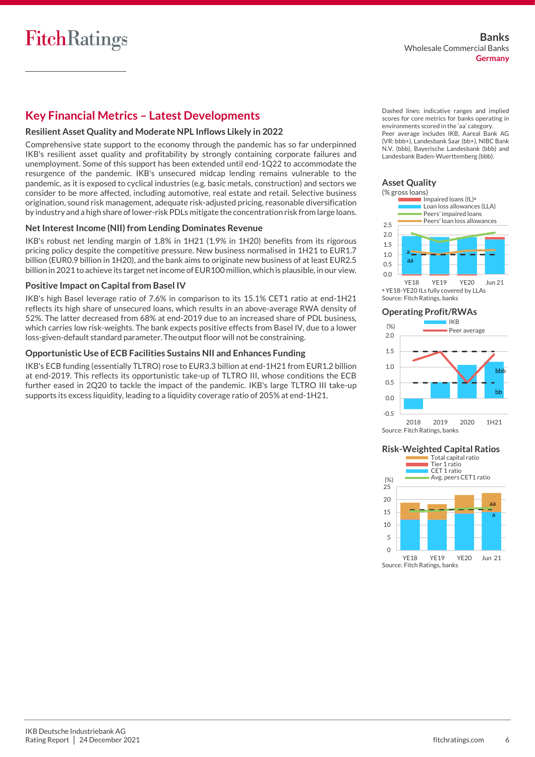### **Key Financial Metrics – Latest Developments**

### **Resilient Asset Quality and Moderate NPL Inflows Likely in 2022**

Comprehensive state support to the economy through the pandemic has so far underpinned IKB's resilient asset quality and profitability by strongly containing corporate failures and unemployment. Some of this support has been extended until end-1Q22 to accommodate the resurgence of the pandemic. IKB's unsecured midcap lending remains vulnerable to the pandemic, as it is exposed to cyclical industries (e.g. basic metals, construction) and sectors we consider to be more affected, including automotive, real estate and retail. Selective business origination, sound risk management, adequate risk-adjusted pricing, reasonable diversification by industry and a high share of lower-risk PDLs mitigate the concentration risk from large loans.

### **Net Interest Income (NII) from Lending Dominates Revenue**

IKB's robust net lending margin of 1.8% in 1H21 (1.9% in 1H20) benefits from its rigorous pricing policy despite the competitive pressure. New business normalised in 1H21 to EUR1.7 billion (EUR0.9 billion in 1H20), and the bank aims to originate new business of at least EUR2.5 billion in 2021 to achieve its target net income of EUR100 million, which is plausible, in our view.

#### **Positive Impact on Capital from Basel IV**

IKB's high Basel leverage ratio of 7.6% in comparison to its 15.1% CET1 ratio at end-1H21 reflects its high share of unsecured loans, which results in an above-average RWA density of 52%. The latter decreased from 68% at end-2019 due to an increased share of PDL business, which carries low risk-weights. The bank expects positive effects from Basel IV, due to a lower loss-given-default standard parameter. The output floor will not be constraining.

### **Opportunistic Use of ECB Facilities Sustains NII and Enhances Funding**

IKB's ECB funding (essentially TLTRO) rose to EUR3.3 billion at end-1H21 from EUR1.2 billion at end-2019. This reflects its opportunistic take-up of TLTRO III, whose conditions the ECB further eased in 2Q20 to tackle the impact of the pandemic. IKB's large TLTRO III take-up supports its excess liquidity, leading to a liquidity coverage ratio of 205% at end-1H21.

Dashed lines: indicative ranges and implied scores for core metrics for banks operating in environments scored in the 'aa' category. Peer average includes IKB, Aareal Bank AG (VR: bbb+), Landesbank Saar (bb+), NIBC Bank N.V. (bbb), Bayerische Landesbank (bbb) and Landesbank Baden-Wuerttemberg (bbb).

### **Asset Quality**



YE18 YE19 YE20 Jun 21 a YE18-YE20 ILs fully covered by LLAs Source: Fitch Ratings, banks

#### **Operating Profit/RWAs**



Source: Fitch Ratings, banks

### **Risk-Weighted Capital Ratios**

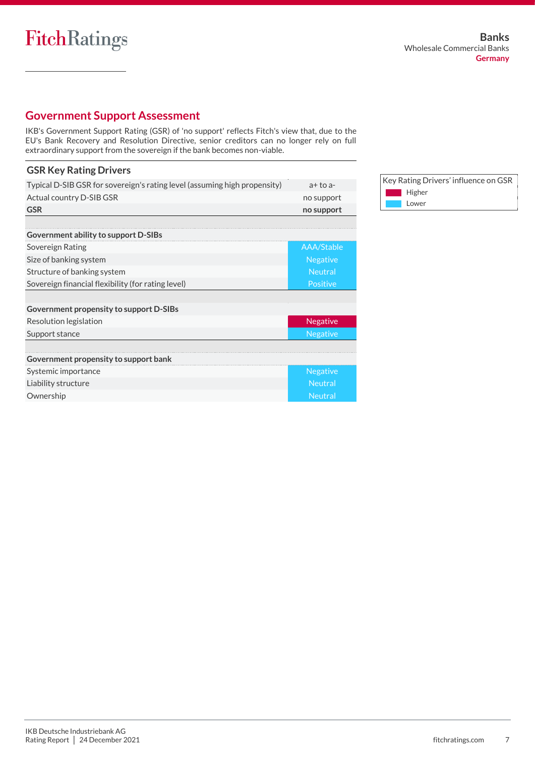### **Government Support Assessment**

IKB's Government Support Rating (GSR) of 'no support' reflects Fitch's view that, due to the EU's Bank Recovery and Resolution Directive, senior creditors can no longer rely on full extraordinary support from the sovereign if the bank becomes non-viable.

### **GSR Key Rating Drivers**

| Typical D-SIB GSR for sovereign's rating level (assuming high propensity) | $a+to a-$       |
|---------------------------------------------------------------------------|-----------------|
| Actual country D-SIB GSR                                                  | no support      |
| <b>GSR</b>                                                                | no support      |
|                                                                           |                 |
| Government ability to support D-SIBs                                      |                 |
| Sovereign Rating                                                          | AAA/Stable      |
| Size of banking system                                                    | <b>Negative</b> |
| Structure of banking system                                               | <b>Neutral</b>  |
| Sovereign financial flexibility (for rating level)                        | Positive        |
|                                                                           |                 |
| Government propensity to support D-SIBs                                   |                 |
| Resolution legislation                                                    | <b>Negative</b> |
| Support stance                                                            | <b>Negative</b> |
|                                                                           |                 |
| Government propensity to support bank                                     |                 |
| Systemic importance                                                       | <b>Negative</b> |
| Liability structure                                                       | <b>Neutral</b>  |
| Ownership                                                                 | <b>Neutral</b>  |

Key Rating Drivers' influence on GSR **Higher Lower**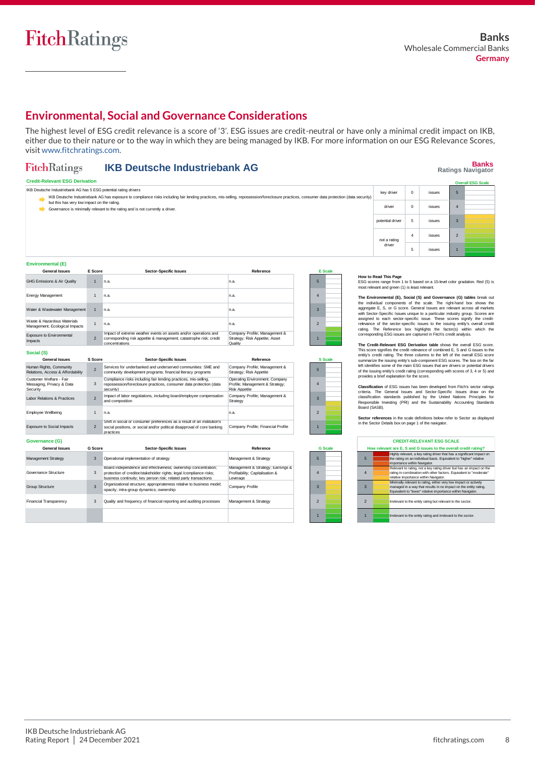### **Environmental, Social and Governance Considerations**

The highest level of ESG credit relevance is a score of '3'. ESG issues are credit-neutral or have only a minimal credit impact on IKB, either due to their nature or to the way in which they are being managed by IKB. For more information on our ESG Relevance Scores, visit www.fitchratings.com.

#### **FitchRatings IKB Deutsche Industriebank AG**

## **Banks Ratings Navigator**

| <b>Credit-Relevant ESG Derivation</b><br><b>Overall ESG Scale</b> |                                                                                                                                                                                                                                           |                  |                |        |                |  |
|-------------------------------------------------------------------|-------------------------------------------------------------------------------------------------------------------------------------------------------------------------------------------------------------------------------------------|------------------|----------------|--------|----------------|--|
|                                                                   | IKB Deutsche Industriebank AG has 5 ESG potential rating drivers                                                                                                                                                                          | key driver       | $\mathbf 0$    | issues | -5             |  |
|                                                                   | IKB Deutsche Industriebank AG has exposure to compliance risks including fair lending practices, mis-selling, repossession/foreclosure practices, consumer data protection (data security)<br>but this has very low impact on the rating. |                  |                |        |                |  |
|                                                                   | Governance is minimally relevant to the rating and is not currently a driver.                                                                                                                                                             | driver           | $\Omega$       | issues | $\overline{4}$ |  |
|                                                                   |                                                                                                                                                                                                                                           | potential driver |                | issues | $\overline{3}$ |  |
|                                                                   |                                                                                                                                                                                                                                           | not a rating     | $\overline{4}$ | issues | $\overline{2}$ |  |
|                                                                   |                                                                                                                                                                                                                                           | driver           | ಿ              | issues |                |  |

| Environmental (E)                                             |                |                                                                                                                                                          |                                                                            |                |  |
|---------------------------------------------------------------|----------------|----------------------------------------------------------------------------------------------------------------------------------------------------------|----------------------------------------------------------------------------|----------------|--|
| <b>General Issues</b>                                         | E Score        | <b>Sector-Specific Issues</b>                                                                                                                            | Reference                                                                  | <b>E</b> Scale |  |
| <b>GHG Emissions &amp; Air Quality</b>                        |                | n.a.                                                                                                                                                     | n.a.                                                                       | 5              |  |
| Energy Management                                             |                | n.a.                                                                                                                                                     | n.a.                                                                       | 4              |  |
| Water & Wastewater Management                                 |                | n.a.                                                                                                                                                     | n.a.                                                                       | 3              |  |
| Waste & Hazardous Materials<br>Management; Ecological Impacts |                | n.a.                                                                                                                                                     | n.a.                                                                       | $\mathfrak{p}$ |  |
| Exposure to Environmental<br>Impacts                          | $\mathfrak{p}$ | Impact of extreme weather events on assets and/or operations and<br>corresponding risk appetite & management; catastrophe risk; credit<br>concentrations | Company Profile; Management &<br>Strategy; Risk Appetite; Asset<br>Quality |                |  |

| Social (S)                                                       |                          |                                                                                                                                                                  |                                                                                           |                          |                |
|------------------------------------------------------------------|--------------------------|------------------------------------------------------------------------------------------------------------------------------------------------------------------|-------------------------------------------------------------------------------------------|--------------------------|----------------|
| <b>General Issues</b>                                            | S Score                  | <b>Sector-Specific Issues</b>                                                                                                                                    | Reference                                                                                 |                          | <b>S</b> Scale |
| Human Rights, Community<br>Relations, Access & Affordability     | $\overline{\phantom{a}}$ | Services for underbanked and underserved communities: SME and<br>community development programs; financial literacy programs                                     | Company Profile; Management &<br>Strategy; Risk Appetite                                  |                          |                |
| Customer Welfare - Fair<br>Messaging, Privacy & Data<br>Security | 3                        | Compliance risks including fair lending practices, mis-selling,<br>repossession/foreclosure practices, consumer data protection (data<br>security)               | Operating Environment; Company<br>Profile; Management & Strategy;<br><b>Risk Appetite</b> | A                        |                |
| Labor Relations & Practices                                      | $\overline{\phantom{a}}$ | Impact of labor negotiations, including board/employee compensation<br>and composition                                                                           | Company Profile; Management &<br>Strategy                                                 | $\mathbf{R}$             |                |
| Employee Wellbeing                                               |                          | n.a.                                                                                                                                                             | n.a.                                                                                      | $\overline{\mathcal{L}}$ |                |
| Exposure to Social Impacts                                       | $\mathfrak{p}$           | Shift in social or consumer preferences as a result of an institution's<br>social positions, or social and/or political disapproval of core banking<br>practices | Company Profile; Financial Profile                                                        |                          |                |

| Governance (G)                |         |                                                                                                                                                                                                           |                                                                                  |                          |                |
|-------------------------------|---------|-----------------------------------------------------------------------------------------------------------------------------------------------------------------------------------------------------------|----------------------------------------------------------------------------------|--------------------------|----------------|
| <b>General Issues</b>         | G Score | <b>Sector-Specific Issues</b>                                                                                                                                                                             | Reference                                                                        |                          | <b>G</b> Scale |
| Management Strategy           | 3       | Operational implementation of strategy                                                                                                                                                                    | Management & Strategy                                                            | E                        |                |
| Governance Structure          | 3       | Board independence and effectiveness: ownership concentration:<br>protection of creditor/stakeholder rights; legal /compliance risks;<br>business continuity: key person risk: related party transactions | Management & Strategy; Earnings &<br>Profitability; Capitalisation &<br>Leverage | 4                        |                |
| Group Structure               | 3       | Organizational structure; appropriateness relative to business model;<br>opacity; intra-group dynamics; ownership                                                                                         | Company Profile                                                                  | $\mathbf{3}$             |                |
| <b>Financial Transparency</b> | 3       | Quality and frequency of financial reporting and auditing processes                                                                                                                                       | Management & Strategy                                                            | $\overline{\mathcal{L}}$ |                |
|                               |         |                                                                                                                                                                                                           |                                                                                  |                          |                |



**How to Read This Page**<br>ESG scores range from 1 to 5 based on a 15-level color gradation. Red (5) is most relevant and green (1) is least relevant.

The Environmental (E), Social (S) and Governance (G) tables break out<br>the individual components of the scale. The right-hand box shows the<br>aggregate E, S, or G score. General issues are relevant across all markets<br>with Sec

The Credit-Relevant ESG Derivation table shows the overall ESG score.<br>This score signifies the credit relevance of combined E, S and G issues to the<br>entity's credit rating. The three columns to the left of the overall ESG

**Classification** of ESG issues has been developed from Fitch's sector ratings<br>criteria. The General Issues and Sector-Specific Issues draw on the<br>classification standards published by the United Nations Principles for<br>Resp Board (SASB).

**Sector references** in the scale definitions below refer to Sector as displayed in the Sector Details box on page 1 of the navigator.

|                          | <b>CREDIT-RELEVANT ESG SCALE</b> |                                                                                                                                                                                                     |  |  |  |  |  |
|--------------------------|----------------------------------|-----------------------------------------------------------------------------------------------------------------------------------------------------------------------------------------------------|--|--|--|--|--|
|                          |                                  | How relevant are E, S and G issues to the overall credit rating?                                                                                                                                    |  |  |  |  |  |
| 5                        |                                  | Highly relevant, a key rating driver that has a significant impact on<br>the rating on an individual basis. Equivalent to "higher" relative<br>importance within Navigator.                         |  |  |  |  |  |
|                          |                                  | Relevant to rating, not a key rating driver but has an impact on the<br>rating in combination with other factors. Equivalent to "moderate"<br>relative importance within Navigator.                 |  |  |  |  |  |
| $\mathbf{3}$             |                                  | Minimally relevant to rating, either very low impact or actively<br>managed in a way that results in no impact on the entity rating.<br>Equivalent to "lower" relative importance within Navigator. |  |  |  |  |  |
| $\overline{\phantom{a}}$ |                                  | Irrelevant to the entity rating but relevant to the sector.                                                                                                                                         |  |  |  |  |  |
|                          |                                  | Irrelevant to the entity rating and irrelevant to the sector.                                                                                                                                       |  |  |  |  |  |